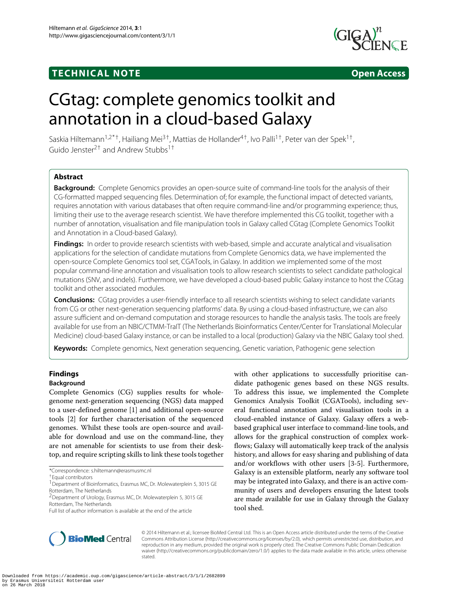## **TECHNICAL NOTE Open Access**



# CGtag: complete genomics toolkit and annotation in a cloud-based Galaxy

Saskia Hiltemann<sup>1,2\*†</sup>, Hailiang Mei<sup>3†</sup>, Mattias de Hollander<sup>4†</sup>, Ivo Palli<sup>1†</sup>, Peter van der Spek<sup>1†</sup>, Guido Jenster2† and Andrew Stubbs1†

## **Abstract**

**Background:** Complete Genomics provides an open-source suite of command-line tools for the analysis of their CG-formatted mapped sequencing files. Determination of; for example, the functional impact of detected variants, requires annotation with various databases that often require command-line and/or programming experience; thus, limiting their use to the average research scientist. We have therefore implemented this CG toolkit, together with a number of annotation, visualisation and file manipulation tools in Galaxy called CGtag (Complete Genomics Toolkit and Annotation in a Cloud-based Galaxy).

**Findings:** In order to provide research scientists with web-based, simple and accurate analytical and visualisation applications for the selection of candidate mutations from Complete Genomics data, we have implemented the open-source Complete Genomics tool set, CGATools, in Galaxy. In addition we implemented some of the most popular command-line annotation and visualisation tools to allow research scientists to select candidate pathological mutations (SNV, and indels). Furthermore, we have developed a cloud-based public Galaxy instance to host the CGtag toolkit and other associated modules.

**Conclusions:** CGtag provides a user-friendly interface to all research scientists wishing to select candidate variants from CG or other next-generation sequencing platforms' data. By using a cloud-based infrastructure, we can also assure sufficient and on-demand computation and storage resources to handle the analysis tasks. The tools are freely available for use from an NBIC/CTMM-TraIT (The Netherlands Bioinformatics Center/Center for Translational Molecular Medicine) cloud-based Galaxy instance, or can be installed to a local (production) Galaxy via the NBIC Galaxy tool shed.

**Keywords:** Complete genomics, Next generation sequencing, Genetic variation, Pathogenic gene selection

## **Findings**

## **Background**

Complete Genomics (CG) supplies results for wholegenome next-generation sequencing (NGS) data mapped to a user-defined genome [1] and additional open-source tools [2] for further characterisation of the sequenced genomes. Whilst these tools are open-source and available for download and use on the command-line, they are not amenable for scientists to use from their desktop, and require scripting skills to link these tools together

\*Correspondence: s.hiltemann@erasmusmc.nl

with other applications to successfully prioritise candidate pathogenic genes based on these NGS results. To address this issue, we implemented the Complete Genomics Analysis Toolkit (CGATools), including several functional annotation and visualisation tools in a cloud-enabled instance of Galaxy. Galaxy offers a webbased graphical user interface to command-line tools, and allows for the graphical construction of complex workflows; Galaxy will automatically keep track of the analysis history, and allows for easy sharing and publishing of data and/or workflows with other users [3-5]. Furthermore, Galaxy is an extensible platform, nearly any software tool may be integrated into Galaxy, and there is an active community of users and developers ensuring the latest tools are made available for use in Galaxy through the Galaxy tool shed.



© 2014 Hiltemann et al.; licensee BioMed Central Ltd. This is an Open Access article distributed under the terms of the Creative Commons Attribution License (http://creativecommons.org/licenses/by/2.0), which permits unrestricted use, distribution, and reproduction in any medium, provided the original work is properly cited. The Creative Commons Public Domain Dedication waiver (http://creativecommons.org/publicdomain/zero/1.0/) applies to the data made available in this article, unless otherwise stated.

<sup>†</sup>Equal contributors

<sup>1</sup>Department of Bioinformatics, Erasmus MC, Dr. Molewaterplein 5, 3015 GE Rotterdam, The Netherlands

<sup>2</sup>Department of Urology, Erasmus MC, Dr. Molewaterplein 5, 3015 GE

Rotterdam, The Netherlands

Full list of author information is available at the end of the article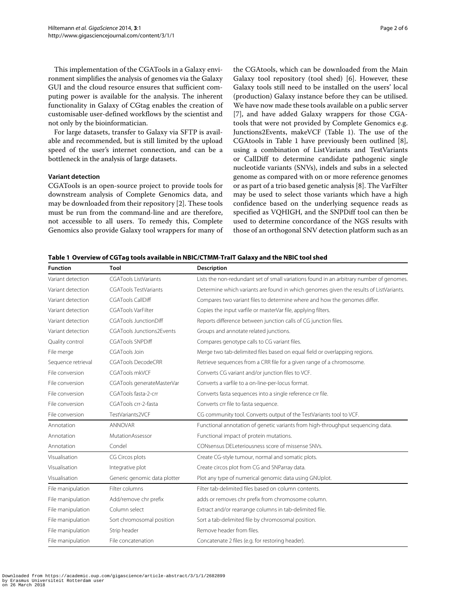This implementation of the CGATools in a Galaxy environment simplifies the analysis of genomes via the Galaxy GUI and the cloud resource ensures that sufficient computing power is available for the analysis. The inherent functionality in Galaxy of CGtag enables the creation of customisable user-defined workflows by the scientist and not only by the bioinformatician.

For large datasets, transfer to Galaxy via SFTP is available and recommended, but is still limited by the upload speed of the user's internet connection, and can be a bottleneck in the analysis of large datasets.

## **Variant detection**

CGATools is an open-source project to provide tools for downstream analysis of Complete Genomics data, and may be downloaded from their repository [2]. These tools must be run from the command-line and are therefore, not accessible to all users. To remedy this, Complete Genomics also provide Galaxy tool wrappers for many of the CGAtools, which can be downloaded from the Main Galaxy tool repository (tool shed) [6]. However, these Galaxy tools still need to be installed on the users' local (production) Galaxy instance before they can be utilised. We have now made these tools available on a public server [7], and have added Galaxy wrappers for those CGAtools that were not provided by Complete Genomics e.g. Junctions2Events, makeVCF (Table 1). The use of the CGAtools in Table 1 have previously been outlined [8], using a combination of ListVariants and TestVariants or CallDiff to determine candidate pathogenic single nucleotide variants (SNVs), indels and subs in a selected genome as compared with on or more reference genomes or as part of a trio based genetic analysis [8]. The VarFilter may be used to select those variants which have a high confidence based on the underlying sequence reads as specified as VQHIGH, and the SNPDiff tool can then be used to determine concordance of the NGS results with those of an orthogonal SNV detection platform such as an

**Table 1 Overview of CGTag tools available in NBIC/CTMM-TraIT Galaxy and the NBIC tool shed**

| <b>Function</b>    | Tool                             | <b>Description</b>                                                                       |
|--------------------|----------------------------------|------------------------------------------------------------------------------------------|
| Variant detection  | CGATools ListVariants            | Lists the non-redundant set of small variations found in an arbitrary number of genomes. |
| Variant detection  | <b>CGATools TestVariants</b>     | Determine which variants are found in which genomes given the results of ListVariants.   |
| Variant detection  | <b>CGATools CallDiff</b>         | Compares two variant files to determine where and how the genomes differ.                |
| Variant detection  | <b>CGATools VarFilter</b>        | Copies the input varfile or masterVar file, applying filters.                            |
| Variant detection  | CGATools JunctionDiff            | Reports difference between junction calls of CG junction files.                          |
| Variant detection  | <b>CGATools Junctions2Events</b> | Groups and annotate related junctions.                                                   |
| Quality control    | <b>CGATools SNPDiff</b>          | Compares genotype calls to CG variant files.                                             |
| File merge         | <b>CGATools Join</b>             | Merge two tab-delimited files based on equal field or overlapping regions.               |
| Sequence retrieval | <b>CGATools DecodeCRR</b>        | Retrieve sequences from a CRR file for a given range of a chromosome.                    |
| File conversion    | <b>CGATools mkVCF</b>            | Converts CG variant and/or junction files to VCF.                                        |
| File conversion    | CGATools generateMasterVar       | Converts a varfile to a on-line-per-locus format.                                        |
| File conversion    | CGATools fasta-2-crr             | Converts fasta sequences into a single reference crr file.                               |
| File conversion    | CGATools crr-2-fasta             | Converts crr file to fasta sequence.                                                     |
| File conversion    | TestVariants2VCF                 | CG community tool. Converts output of the TestVariants tool to VCF.                      |
| Annotation         | <b>ANNOVAR</b>                   | Functional annotation of genetic variants from high-throughput sequencing data.          |
| Annotation         | MutationAssessor                 | Functional impact of protein mutations.                                                  |
| Annotation         | Condel                           | CONsensus DELeteriousness score of missense SNVs.                                        |
| Visualisation      | CG Circos plots                  | Create CG-style tumour, normal and somatic plots.                                        |
| Visualisation      | Integrative plot                 | Create circos plot from CG and SNParray data.                                            |
| Visualisation      | Generic genomic data plotter     | Plot any type of numerical genomic data using GNUplot.                                   |
| File manipulation  | Filter columns                   | Filter tab-delimited files based on column contents.                                     |
| File manipulation  | Add/remove chr prefix            | adds or removes chr prefix from chromosome column.                                       |
| File manipulation  | Column select                    | Extract and/or rearrange columns in tab-delimited file.                                  |
| File manipulation  | Sort chromosomal position        | Sort a tab-delimited file by chromosomal position.                                       |
| File manipulation  | Strip header                     | Remove header from files.                                                                |
| File manipulation  | File concatenation               | Concatenate 2 files (e.g. for restoring header).                                         |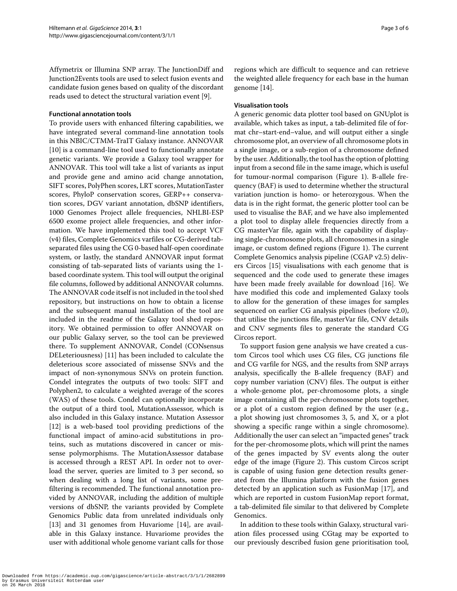Affymetrix or Illumina SNP array. The JunctionDiff and Junction2Events tools are used to select fusion events and candidate fusion genes based on quality of the discordant reads used to detect the structural variation event [9].

## **Functional annotation tools**

To provide users with enhanced filtering capabilities, we have integrated several command-line annotation tools in this NBIC/CTMM-TraIT Galaxy instance. ANNOVAR [10] is a command-line tool used to functionally annotate genetic variants. We provide a Galaxy tool wrapper for ANNOVAR. This tool will take a list of variants as input and provide gene and amino acid change annotation, SIFT scores, PolyPhen scores, LRT scores, MutationTaster scores, PhyloP conservation scores, GERP++ conservation scores, DGV variant annotation, dbSNP identifiers, 1000 Genomes Project allele frequencies, NHLBI-ESP 6500 exome project allele frequencies, and other information. We have implemented this tool to accept VCF (v4) files, Complete Genomics varfiles or CG-derived tabseparated files using the CG 0-based half-open coordinate system, or lastly, the standard ANNOVAR input format consisting of tab-separated lists of variants using the 1 based coordinate system. This tool will output the original file columns, followed by additional ANNOVAR columns. The ANNOVAR code itself is not included in the tool shed repository, but instructions on how to obtain a license and the subsequent manual installation of the tool are included in the readme of the Galaxy tool shed repository. We obtained permission to offer ANNOVAR on our public Galaxy server, so the tool can be previewed there. To supplement ANNOVAR, Condel (CONsensus DELeteriousness) [11] has been included to calculate the deleterious score associated of missense SNVs and the impact of non-synonymous SNVs on protein function. Condel integrates the outputs of two tools: SIFT and Polyphen2, to calculate a weighted average of the scores (WAS) of these tools. Condel can optionally incorporate the output of a third tool, MutationAssessor, which is also included in this Galaxy instance. Mutation Assessor [12] is a web-based tool providing predictions of the functional impact of amino-acid substitutions in proteins, such as mutations discovered in cancer or missense polymorphisms. The MutationAssessor database is accessed through a REST API. In order not to overload the server, queries are limited to 3 per second, so when dealing with a long list of variants, some prefiltering is recommended. The functional annotation provided by ANNOVAR, including the addition of multiple versions of dbSNP, the variants provided by Complete Genomics Public data from unrelated individuals only [13] and 31 genomes from Huvariome [14], are available in this Galaxy instance. Huvariome provides the user with additional whole genome variant calls for those regions which are difficult to sequence and can retrieve the weighted allele frequency for each base in the human genome [14].

## **Visualisation tools**

A generic genomic data plotter tool based on GNUplot is available, which takes as input, a tab-delimited file of format chr–start-end–value, and will output either a single chromosome plot, an overview of all chromosome plots in a single image, or a sub-region of a chromosome defined by the user. Additionally, the tool has the option of plotting input from a second file in the same image, which is useful for tumour-normal comparison (Figure 1). B-allele frequency (BAF) is used to determine whether the structural variation junction is homo- or heterozygous. When the data is in the right format, the generic plotter tool can be used to visualise the BAF, and we have also implemented a plot tool to display allele frequencies directly from a CG masterVar file, again with the capability of displaying single-chromosome plots, all chromosomes in a single image, or custom defined regions (Figure 1). The current Complete Genomics analysis pipeline (CGAP v2.5) delivers Circos [15] visualisations with each genome that is sequenced and the code used to generate these images have been made freely available for download [16]. We have modified this code and implemented Galaxy tools to allow for the generation of these images for samples sequenced on earlier CG analysis pipelines (before v2.0), that utilise the junctions file, masterVar file, CNV details and CNV segments files to generate the standard CG Circos report.

To support fusion gene analysis we have created a custom Circos tool which uses CG files, CG junctions file and CG varfile for NGS, and the results from SNP arrays analysis, specifically the B-allele frequency (BAF) and copy number variation (CNV) files. The output is either a whole-genome plot, per-chromosome plots, a single image containing all the per-chromosome plots together, or a plot of a custom region defined by the user (e.g., a plot showing just chromosomes 3, 5, and X, or a plot showing a specific range within a single chromosome). Additionally the user can select an "impacted genes" track for the per-chromosome plots, which will print the names of the genes impacted by SV events along the outer edge of the image (Figure 2). This custom Circos script is capable of using fusion gene detection results generated from the Illumina platform with the fusion genes detected by an application such as FusionMap [17], and which are reported in custom FusionMap report format, a tab-delimited file similar to that delivered by Complete Genomics.

In addition to these tools within Galaxy, structural variation files processed using CGtag may be exported to our previously described fusion gene prioritisation tool,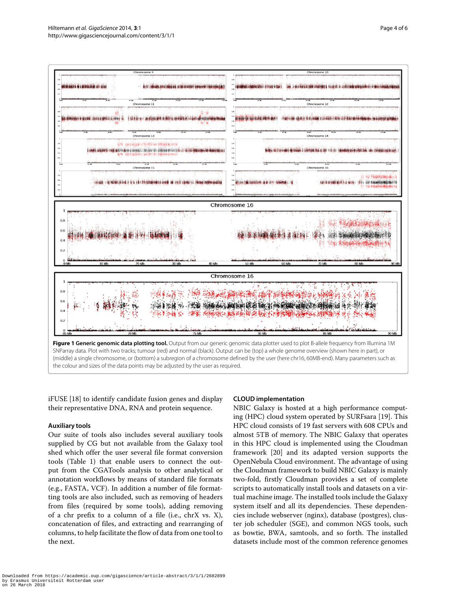

iFUSE [18] to identify candidate fusion genes and display their representative DNA, RNA and protein sequence.

## **Auxiliary tools**

Our suite of tools also includes several auxiliary tools supplied by CG but not available from the Galaxy tool shed which offer the user several file format conversion tools (Table 1) that enable users to connect the output from the CGATools analysis to other analytical or annotation workflows by means of standard file formats (e.g., FASTA, VCF). In addition a number of file formatting tools are also included, such as removing of headers from files (required by some tools), adding removing of a chr prefix to a column of a file (i.e., chrX vs. X), concatenation of files, and extracting and rearranging of columns, to help facilitate the flow of data from one tool to the next.

## **CLOUD implementation**

NBIC Galaxy is hosted at a high performance computing (HPC) cloud system operated by SURFsara [19]. This HPC cloud consists of 19 fast servers with 608 CPUs and almost 5TB of memory. The NBIC Galaxy that operates in this HPC cloud is implemented using the Cloudman framework [20] and its adapted version supports the OpenNebula Cloud environment. The advantage of using the Cloudman framework to build NBIC Galaxy is mainly two-fold, firstly Cloudman provides a set of complete scripts to automatically install tools and datasets on a virtual machine image. The installed tools include the Galaxy system itself and all its dependencies. These dependencies include webserver (nginx), database (postgres), cluster job scheduler (SGE), and common NGS tools, such as bowtie, BWA, samtools, and so forth. The installed datasets include most of the common reference genomes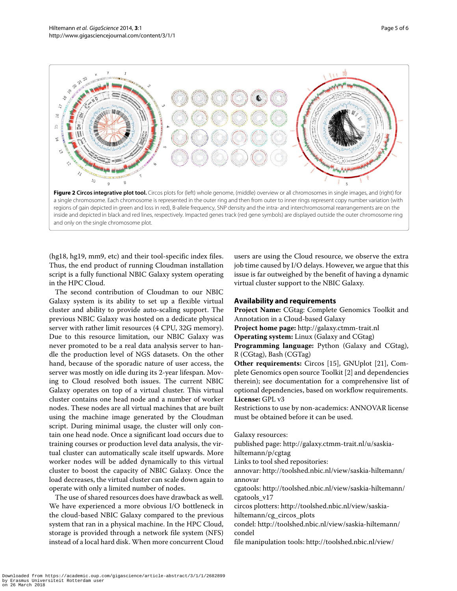

(hg18, hg19, mm9, etc) and their tool-specific index files. Thus, the end product of running Cloudman installation script is a fully functional NBIC Galaxy system operating in the HPC Cloud.

The second contribution of Cloudman to our NBIC Galaxy system is its ability to set up a flexible virtual cluster and ability to provide auto-scaling support. The previous NBIC Galaxy was hosted on a dedicate physical server with rather limit resources (4 CPU, 32G memory). Due to this resource limitation, our NBIC Galaxy was never promoted to be a real data analysis server to handle the production level of NGS datasets. On the other hand, because of the sporadic nature of user access, the server was mostly on idle during its 2-year lifespan. Moving to Cloud resolved both issues. The current NBIC Galaxy operates on top of a virtual cluster. This virtual cluster contains one head node and a number of worker nodes. These nodes are all virtual machines that are built using the machine image generated by the Cloudman script. During minimal usage, the cluster will only contain one head node. Once a significant load occurs due to training courses or production level data analysis, the virtual cluster can automatically scale itself upwards. More worker nodes will be added dynamically to this virtual cluster to boost the capacity of NBIC Galaxy. Once the load decreases, the virtual cluster can scale down again to operate with only a limited number of nodes.

The use of shared resources does have drawback as well. We have experienced a more obvious I/O bottleneck in the cloud-based NBIC Galaxy compared to the previous system that ran in a physical machine. In the HPC Cloud, storage is provided through a network file system (NFS) instead of a local hard disk. When more concurrent Cloud

users are using the Cloud resource, we observe the extra job time caused by I/O delays. However, we argue that this issue is far outweighed by the benefit of having a dynamic virtual cluster support to the NBIC Galaxy.

## **Availability and requirements**

**Project Name:** CGtag: Complete Genomics Toolkit and Annotation in a Cloud-based Galaxy

**Project home page:** http://galaxy.ctmm-trait.nl

**Operating system:** Linux (Galaxy and CGtag)

**Programming language:** Python (Galaxy and CGtag), R (CGtag), Bash (CGTag)

**Other requirements:** Circos [15], GNUplot [21], Complete Genomics open source Toolkit [2] and dependencies therein); see documentation for a comprehensive list of optional dependencies, based on workflow requirements. **License:** GPL v3

Restrictions to use by non-academics: ANNOVAR license must be obtained before it can be used.

Galaxy resources:

published page: http://galaxy.ctmm-trait.nl/u/saskiahiltemann/p/cgtag

Links to tool shed repositories:

annovar: http://toolshed.nbic.nl/view/saskia-hiltemann/ annovar

cgatools: http://toolshed.nbic.nl/view/saskia-hiltemann/ cgatools\_v17

circos plotters: http://toolshed.nbic.nl/view/saskiahiltemann/cg\_circos\_plots

condel: http://toolshed.nbic.nl/view/saskia-hiltemann/ condel

file manipulation tools: http://toolshed.nbic.nl/view/